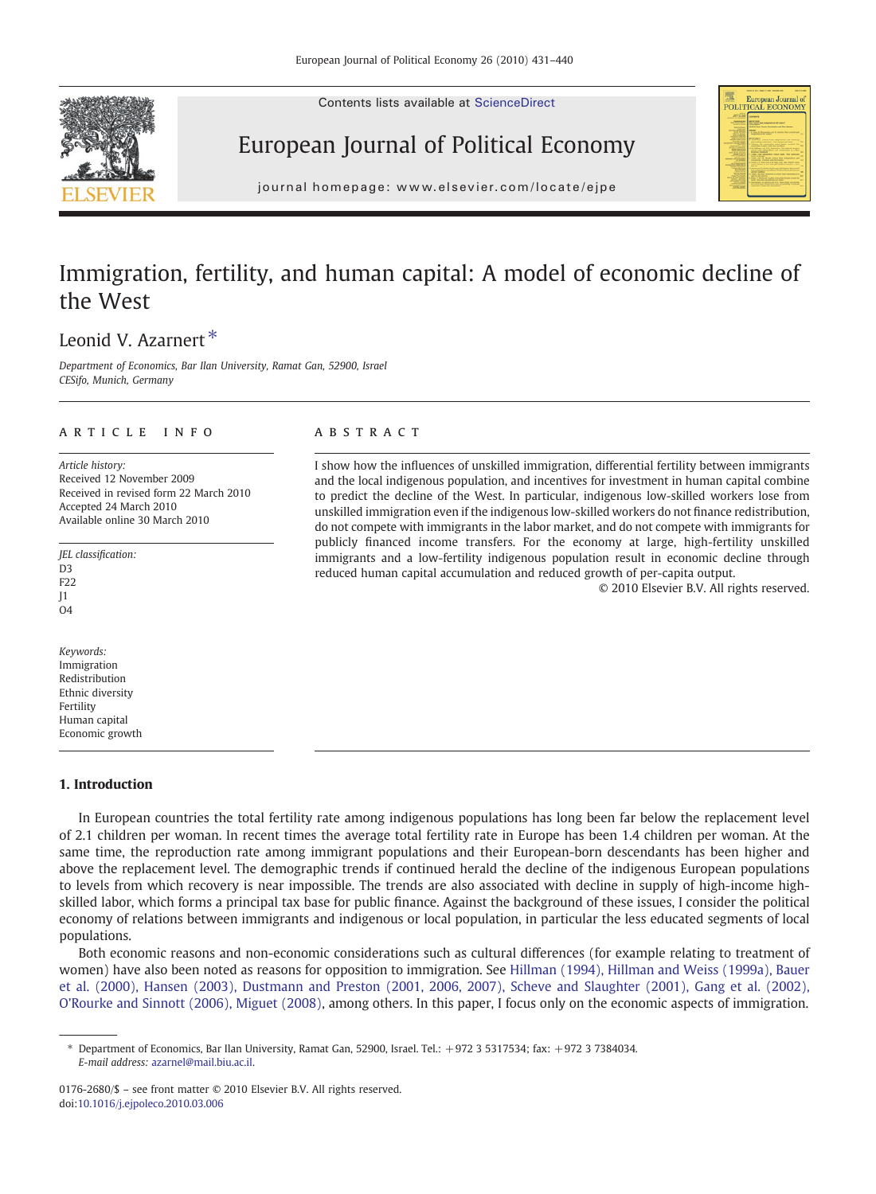Contents lists available at ScienceDirect







## Immigration, fertility, and human capital: A model of economic decline of the West

### Leonid V. Azarnert<sup>\*</sup>

Department of Economics, Bar Ilan University, Ramat Gan, 52900, Israel CESifo, Munich, Germany

#### article info abstract

Article history: Received 12 November 2009 Received in revised form 22 March 2010 Accepted 24 March 2010 Available online 30 March 2010

JEL classification: D<sub>3</sub> F22 J1  $\Omega$ 

Keywords: Immigration Redistribution Ethnic diversity Fertility Human capital Economic growth

### 1. Introduction

I show how the influences of unskilled immigration, differential fertility between immigrants and the local indigenous population, and incentives for investment in human capital combine to predict the decline of the West. In particular, indigenous low-skilled workers lose from unskilled immigration even if the indigenous low-skilled workers do not finance redistribution, do not compete with immigrants in the labor market, and do not compete with immigrants for publicly financed income transfers. For the economy at large, high-fertility unskilled immigrants and a low-fertility indigenous population result in economic decline through reduced human capital accumulation and reduced growth of per-capita output.

© 2010 Elsevier B.V. All rights reserved.

In European countries the total fertility rate among indigenous populations has long been far below the replacement level of 2.1 children per woman. In recent times the average total fertility rate in Europe has been 1.4 children per woman. At the same time, the reproduction rate among immigrant populations and their European-born descendants has been higher and above the replacement level. The demographic trends if continued herald the decline of the indigenous European populations to levels from which recovery is near impossible. The trends are also associated with decline in supply of high-income highskilled labor, which forms a principal tax base for public finance. Against the background of these issues, I consider the political economy of relations between immigrants and indigenous or local population, in particular the less educated segments of local populations.

Both economic reasons and non-economic considerations such as cultural differences (for example relating to treatment of women) have also been noted as reasons for opposition to immigration. See [Hillman \(1994\), Hillman and Weiss \(1999a\), Bauer](#page--1-0) [et al. \(2000\), Hansen \(2003\), Dustmann and Preston \(2001, 2006, 2007\), Scheve and Slaughter \(2001\), Gang et al. \(2002\),](#page--1-0) [O'Rourke and Sinnott \(2006\), Miguet \(2008\)](#page--1-0), among others. In this paper, I focus only on the economic aspects of immigration.

<sup>⁎</sup> Department of Economics, Bar Ilan University, Ramat Gan, 52900, Israel. Tel.: +972 3 5317534; fax: +972 3 7384034. E-mail address: [azarnel@mail.biu.ac.il.](mailto:azarnel@mail.biu.ac.il)

<sup>0176-2680/\$</sup> – see front matter © 2010 Elsevier B.V. All rights reserved. doi[:10.1016/j.ejpoleco.2010.03.006](http://dx.doi.org/10.1016/j.ejpoleco.2010.03.006)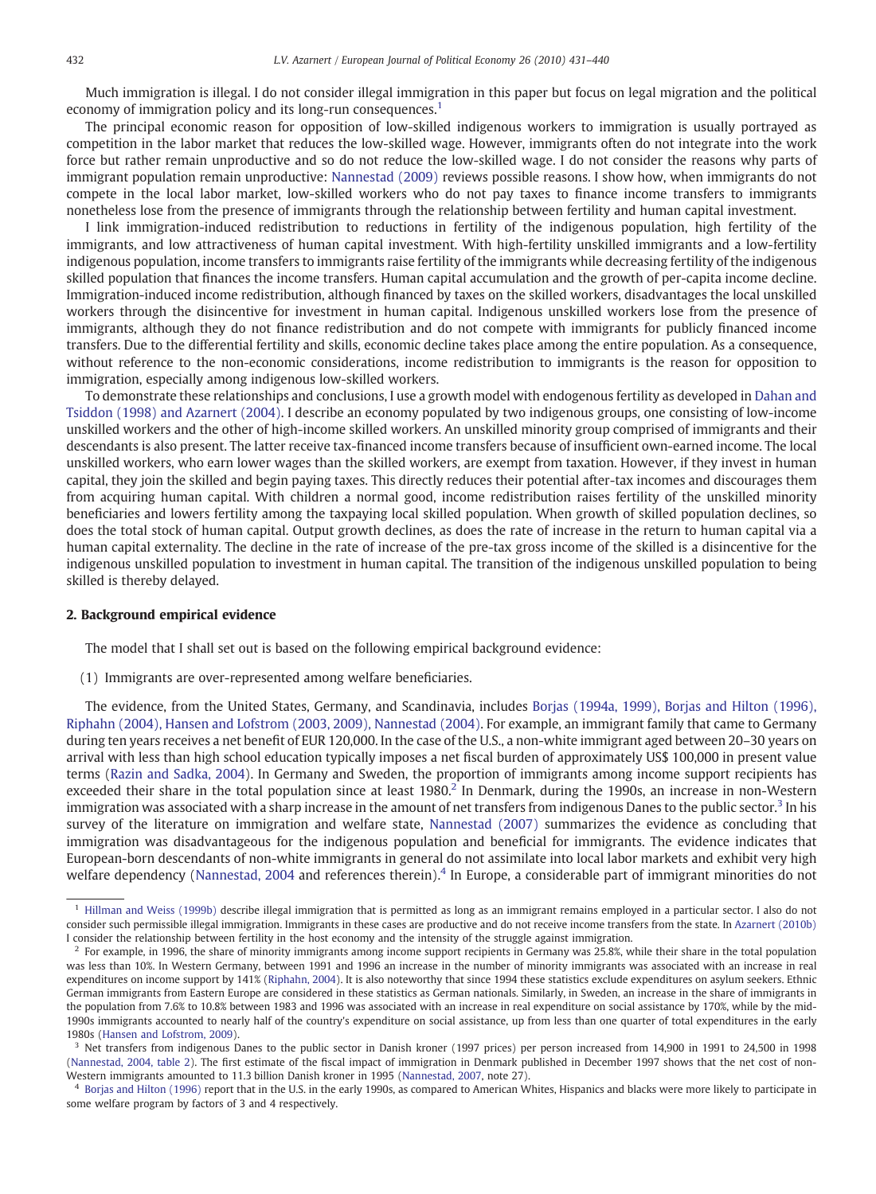Much immigration is illegal. I do not consider illegal immigration in this paper but focus on legal migration and the political economy of immigration policy and its long-run consequences.<sup>1</sup>

The principal economic reason for opposition of low-skilled indigenous workers to immigration is usually portrayed as competition in the labor market that reduces the low-skilled wage. However, immigrants often do not integrate into the work force but rather remain unproductive and so do not reduce the low-skilled wage. I do not consider the reasons why parts of immigrant population remain unproductive: [Nannestad \(2009\)](#page--1-0) reviews possible reasons. I show how, when immigrants do not compete in the local labor market, low-skilled workers who do not pay taxes to finance income transfers to immigrants nonetheless lose from the presence of immigrants through the relationship between fertility and human capital investment.

I link immigration-induced redistribution to reductions in fertility of the indigenous population, high fertility of the immigrants, and low attractiveness of human capital investment. With high-fertility unskilled immigrants and a low-fertility indigenous population, income transfers to immigrants raise fertility of the immigrants while decreasing fertility of the indigenous skilled population that finances the income transfers. Human capital accumulation and the growth of per-capita income decline. Immigration-induced income redistribution, although financed by taxes on the skilled workers, disadvantages the local unskilled workers through the disincentive for investment in human capital. Indigenous unskilled workers lose from the presence of immigrants, although they do not finance redistribution and do not compete with immigrants for publicly financed income transfers. Due to the differential fertility and skills, economic decline takes place among the entire population. As a consequence, without reference to the non-economic considerations, income redistribution to immigrants is the reason for opposition to immigration, especially among indigenous low-skilled workers.

To demonstrate these relationships and conclusions, I use a growth model with endogenous fertility as developed in [Dahan and](#page--1-0) [Tsiddon \(1998\) and Azarnert \(2004\).](#page--1-0) I describe an economy populated by two indigenous groups, one consisting of low-income unskilled workers and the other of high-income skilled workers. An unskilled minority group comprised of immigrants and their descendants is also present. The latter receive tax-financed income transfers because of insufficient own-earned income. The local unskilled workers, who earn lower wages than the skilled workers, are exempt from taxation. However, if they invest in human capital, they join the skilled and begin paying taxes. This directly reduces their potential after-tax incomes and discourages them from acquiring human capital. With children a normal good, income redistribution raises fertility of the unskilled minority beneficiaries and lowers fertility among the taxpaying local skilled population. When growth of skilled population declines, so does the total stock of human capital. Output growth declines, as does the rate of increase in the return to human capital via a human capital externality. The decline in the rate of increase of the pre-tax gross income of the skilled is a disincentive for the indigenous unskilled population to investment in human capital. The transition of the indigenous unskilled population to being skilled is thereby delayed.

#### 2. Background empirical evidence

The model that I shall set out is based on the following empirical background evidence:

(1) Immigrants are over-represented among welfare beneficiaries.

The evidence, from the United States, Germany, and Scandinavia, includes [Borjas \(1994a, 1999\), Borjas and Hilton \(1996\),](#page--1-0) [Riphahn \(2004\), Hansen and Lofstrom \(2003, 2009\), Nannestad \(2004\).](#page--1-0) For example, an immigrant family that came to Germany during ten years receives a net benefit of EUR 120,000. In the case of the U.S., a non-white immigrant aged between 20–30 years on arrival with less than high school education typically imposes a net fiscal burden of approximately US\$ 100,000 in present value terms ([Razin and Sadka, 2004](#page--1-0)). In Germany and Sweden, the proportion of immigrants among income support recipients has exceeded their share in the total population since at least  $1980<sup>2</sup>$  In Denmark, during the 1990s, an increase in non-Western immigration was associated with a sharp increase in the amount of net transfers from indigenous Danes to the public sector.<sup>3</sup> In his survey of the literature on immigration and welfare state, [Nannestad \(2007\)](#page--1-0) summarizes the evidence as concluding that immigration was disadvantageous for the indigenous population and beneficial for immigrants. The evidence indicates that European-born descendants of non-white immigrants in general do not assimilate into local labor markets and exhibit very high welfare dependency ([Nannestad, 2004](#page--1-0) and references therein).<sup>4</sup> In Europe, a considerable part of immigrant minorities do not

<sup>&</sup>lt;sup>1</sup> [Hillman and Weiss \(1999b\)](#page--1-0) describe illegal immigration that is permitted as long as an immigrant remains employed in a particular sector. I also do not consider such permissible illegal immigration. Immigrants in these cases are productive and do not receive income transfers from the state. In [Azarnert \(2010b\)](#page--1-0) I consider the relationship between fertility in the host economy and the intensity of the struggle against immigration.

 $<sup>2</sup>$  For example, in 1996, the share of minority immigrants among income support recipients in Germany was 25.8%, while their share in the total population</sup> was less than 10%. In Western Germany, between 1991 and 1996 an increase in the number of minority immigrants was associated with an increase in real expenditures on income support by 141% ([Riphahn, 2004\)](#page--1-0). It is also noteworthy that since 1994 these statistics exclude expenditures on asylum seekers. Ethnic German immigrants from Eastern Europe are considered in these statistics as German nationals. Similarly, in Sweden, an increase in the share of immigrants in the population from 7.6% to 10.8% between 1983 and 1996 was associated with an increase in real expenditure on social assistance by 170%, while by the mid-1990s immigrants accounted to nearly half of the country's expenditure on social assistance, up from less than one quarter of total expenditures in the early 1980s ([Hansen and Lofstrom, 2009\)](#page--1-0).

<sup>&</sup>lt;sup>3</sup> Net transfers from indigenous Danes to the public sector in Danish kroner (1997 prices) per person increased from 14,900 in 1991 to 24,500 in 1998 [\(Nannestad, 2004, table 2](#page--1-0)). The first estimate of the fiscal impact of immigration in Denmark published in December 1997 shows that the net cost of non-Western immigrants amounted to 11.3 billion Danish kroner in 1995 ([Nannestad, 2007](#page--1-0), note 27).

<sup>&</sup>lt;sup>4</sup> [Borjas and Hilton \(1996\)](#page--1-0) report that in the U.S. in the early 1990s, as compared to American Whites, Hispanics and blacks were more likely to participate in some welfare program by factors of 3 and 4 respectively.